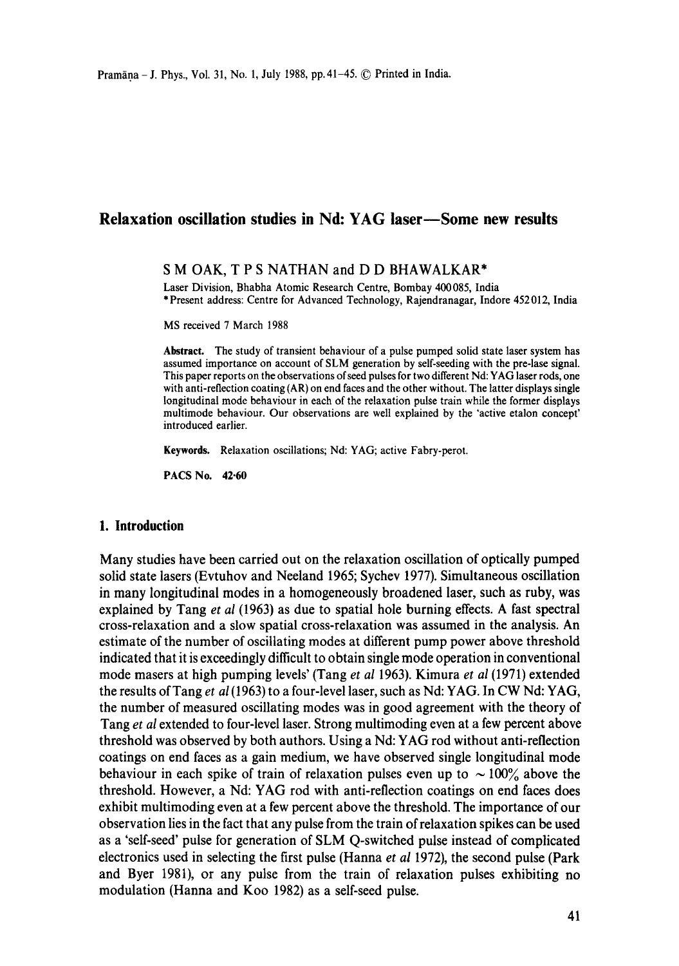# **Relaxation oscillation studies in Nd: YAG laser—Some new results**

## S M OAK, T P S NATHAN and D D BHAWALKAR\*

Laser Division, Bhabha Atomic Research Centre, Bombay 400085, India \* Present address: Centre for Advanced Technology, Rajendranagar, Indore 452 012, India

MS received 7 March 1988

**Abstract.** The study of transient behaviour of a pulse pumped solid state laser system has assumed importance on account of SLM generation by self-seeding with the pre-lase signal. This paper reports on the observations of seed pulses for two different Nd: YAG laser rods, one with anti-reflection coating (AR) on end faces and the other without. The latter displays single longitudinal mode behaviour in each of the relaxation pulse train while the former displays multimode behaviour. Our observations are welt explained by the "active etalon concept' introduced earlier.

**Keywords.** Relaxation oscillations; Nd: YAG; active Fabry-perot.

PACS No. **42-60** 

#### **1. Introduction**

Many studies have been carried out on the relaxation oscillation of optically pumped solid state lasers (Evtuhov and Neeland 1965; Sychev 1977). Simultaneous oscillation in many longitudinal modes in a homogeneously broadened laser, such as ruby, was explained by Tang *et al* (1963) as due to spatial hole burning effects. A fast spectral cross-relaxation and a slow spatial cross-relaxation was assumed in the analysis. An estimate of the number of oscillating modes at different pump power above threshold indicated that it is exceedingly difficult to obtain single mode operation in conventional mode masers at high pumping levels' (Tang *et al* 1963). Kimura *et al* (1971) extended the results of Tang *et al* (1963) to a four-level laser, such as Nd: YAG. In CW Nd: YAG, the number of measured oscillating modes was in good agreement with the theory of Tang *et al* extended to four-level laser. Strong multimoding even at a few percent above threshold was observed by both authors. Using a Nd: YAG rod without anti-reflection coatings on end faces as a gain medium, we have observed single longitudinal mode behaviour in each spike of train of relaxation pulses even up to  $\sim 100\%$  above the threshold. However, a Nd: YAG rod with anti-reflection coatings on end faces does exhibit multimoding even at a few percent above the threshold. The importance of our observation lies in the fact that any pulse from the train of relaxation spikes can be used as a 'self-seed' pulse for generation of SLM Q-switched pulse instead of complicated electronics used in selecting the first pulse (Hanna *et al* 1972), the second pulse (Park and Byer 1981), or any pulse from the train of relaxation pulses exhibiting no modulation (Hanna and Koo 1982) as a self-seed pulse.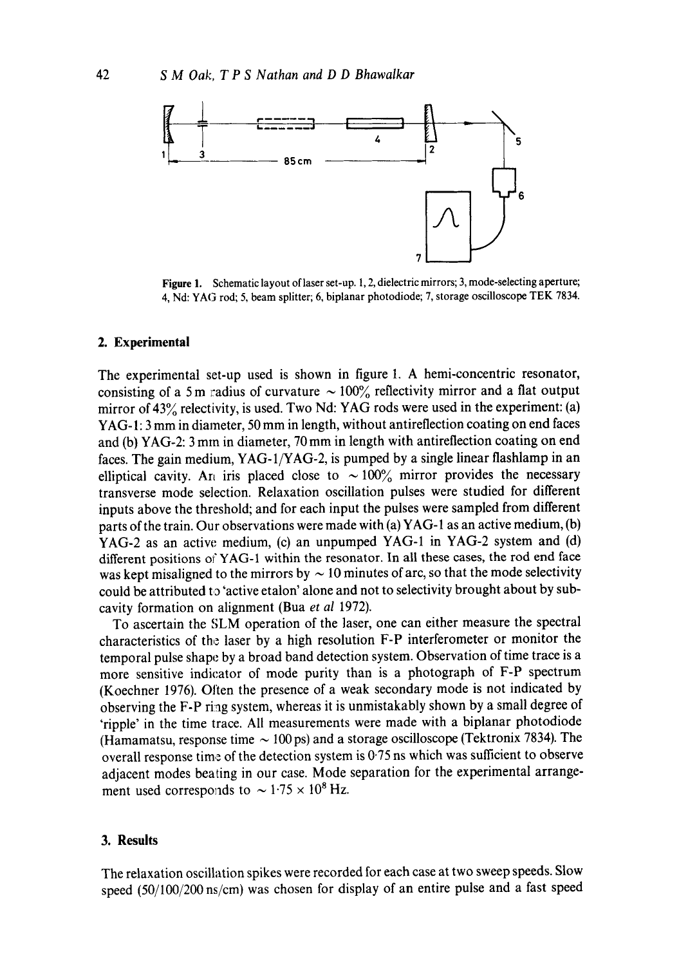

Figure 1. Schematic layout of laser set-up. 1, 2, dielectric mirrors; 3, mode-selecting aperture; 4, Nd: YAG rod; 5, beam splitter; 6, biplanar photodiode; 7, storage oscilloscope TEK 7834.

#### **2. Experimental**

The experimental set-up used is shown in figure 1. A hemi-concentric resonator, consisting of a 5 m radius of curvature  $\sim 100\%$  reflectivity mirror and a flat output mirror of 43% relectivity, is used. Two Nd: YAG rods were used in the experiment: (a) YAG- 1: 3 mm in diameter, 50 mm in length, without antireflection coating on end faces and (b) YAG-2:3 mm in diameter, 70 mm in length with antireflection coating on end faces. The gain medium, YAG-1/YAG-2, is pumped by a single linear flashlamp in an elliptical cavity. An iris placed close to  $\sim 100\%$  mirror provides the necessary transverse mode selection. Relaxation oscillation pulses were studied for different inputs above the threshold; and for each input the pulses were sampled from different parts of the train. Our observations were made with (a) YAG-1 as an active medium, (b) YAG-2 as an active medium, (c) an unpumped YAG-1 in YAG-2 system and (d) different positions of YAG-1 within the resonator. In all these cases, the rod end face was kept misaligned to the mirrors by  $\sim$  10 minutes of arc, so that the mode selectivity could be attributed to 'active etalon' alone and not to selectivity brought about by subcavity formation on alignment (Bua *et al* 1972).

To ascertain the SLM operation of the laser, one can either measure the spectral characteristics of the laser by a high resolution F-P interferometer or monitor the temporal pulse shape by a broad band detection system. Observation of time trace is a more sensitive indicator of mode purity than is a photograph of F-P spectrum (Koechner 1976). Often the presence of a weak secondary mode is not indicated by observing the F-P ring system, whereas it is unmistakably shown by a small degree of 'ripple' in the time trace. All measurements were made with a biplanar photodiode (Hamamatsu, response time  $\sim$  100 ps) and a storage oscilloscope (Tektronix 7834). The overall response time of the detection system is 0'75 ns which was sufficient to observe adjacent modes beating in our case. Mode separation for the experimental arrangement used corresponds to  $\sim 1.75 \times 10^8$  Hz.

#### **3. Results**

The relaxation oscillation spikes were recorded for each case at two sweep speeds. Slow speed (50/100/200 ns/cm) was chosen for display of an entire pulse and a fast speed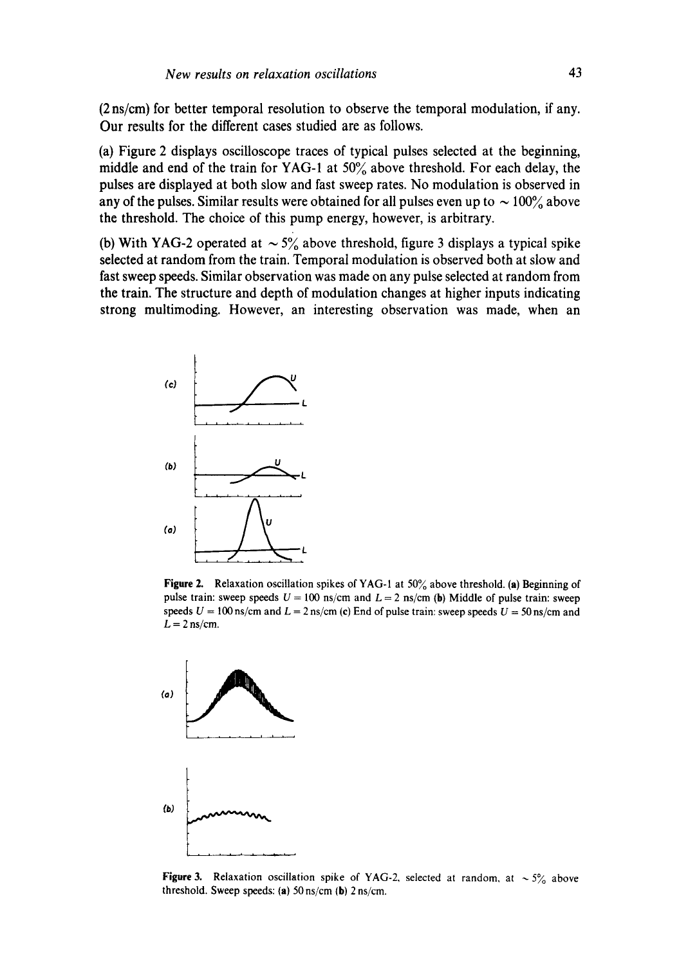(2 ns/cm) for better temporal resolution to observe the temporal modulation, if any. Our results for the different cases studied are as follows.

(a) Figure 2 displays oscilloscope traces of typical pulses selected at the beginning, middle and end of the train for YAG-1 at  $50\%$  above threshold. For each delay, the pulses are displayed at both slow and fast sweep rates. No modulation is observed in any of the pulses. Similar results were obtained for all pulses even up to  $\sim 100\%$  above the threshold. The choice of this pump energy, however, is arbitrary.

(b) With YAG-2 operated at  $\sim 5\%$  above threshold, figure 3 displays a typical spike selected at random from the train. Temporal modulation is observed both at slow and fast sweep speeds. Similar observation was made on any pulse selected at random from the train. The structure and depth of modulation changes at higher inputs indicating strong multimoding. However, an interesting observation was made, when an



Figure 2. Relaxation oscillation spikes of YAG-1 at 50% above threshold. (a) Beginning of pulse train: sweep speeds  $U = 100$  ns/cm and  $L = 2$  ns/cm (b) Middle of pulse train: sweep speeds  $U = 100$  ns/cm and  $L = 2$  ns/cm (c) End of pulse train: sweep speeds  $U = 50$  ns/cm and  $L = 2$  ns/cm.



**Figure 3.** Relaxation oscillation spike of YAG-2, selected at random, at  $\sim 5\%$  above threshold. Sweep speeds: (a)  $50 \text{ ns/cm}$  (b)  $2 \text{ ns/cm}$ .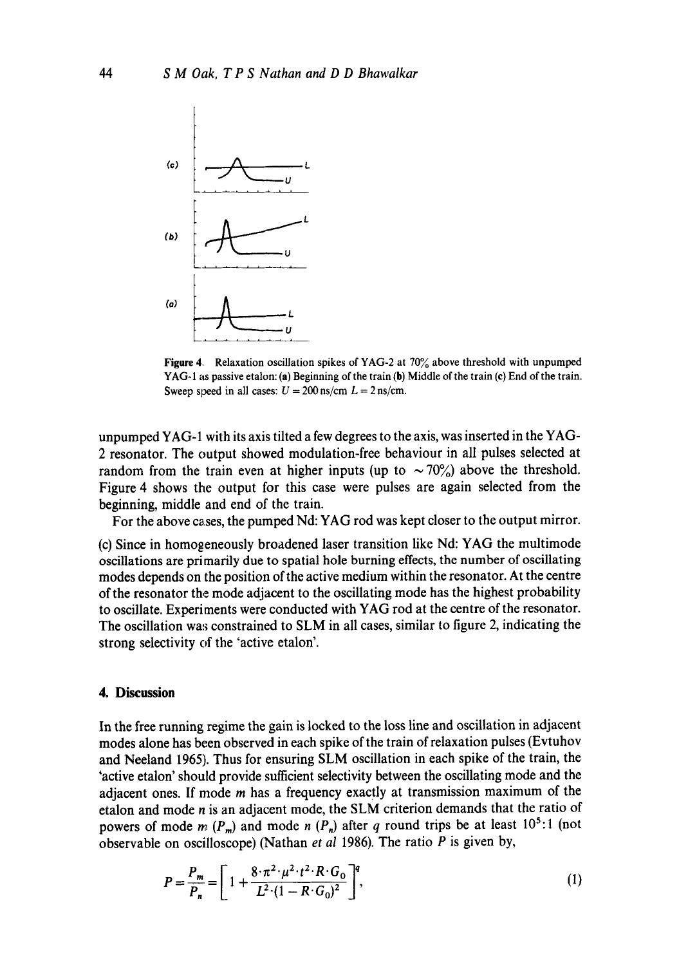

Figure 4. Relaxation oscillation spikes of YAG-2 at 70% above threshold with unpumped YAG-1 as passive etalon: (a) Beginning of the train (b) Middle of the train (c) End of the train. Sweep speed in all cases:  $U = 200$  ns/cm  $L = 2$  ns/cm.

unpumped YAG-1 with its axis tilted a few degrees to the axis, was inserted in the YAG-2 resonator. The output showed modulation-free behaviour in all pulses selected at random from the train even at higher inputs (up to  $\sim 70\%$ ) above the threshold. Figure 4 shows the output for this case were pulses are again selected from the beginning, middle and end of the train.

For the above cases, the pumped Nd: YAG rod was kept closer to the output mirror.

(c) Since in homogeneously broadened laser transition like Nd: YAG the multimode oscillations are primarily due to spatial hole burning effects, the number of oscillating modes depends on the position of the active medium within the resonator. At the centre of the resonator the mode adjacent to the oscillating mode has the highest probability to oscillate. Experiments were conducted with YAG rod at the centre of the resonator. The oscillation was constrained to SLM in all cases, similar to figure 2, indicating the strong selectivity of the 'active etalon'.

### **4. Discussion**

In the free running regime the gain is locked to the loss line and oscillation in adjacent modes alone has been observed in each spike of the train of relaxation pulses (Evtuhov and Neeland 1965). Thus for ensuring SLM oscillation in each spike of the train, the 'active etalon' should provide sufficient selectivity between the oscillating mode and the adjacent ones. If mode  $m$  has a frequency exactly at transmission maximum of the etalon and mode n is an adjacent mode, the SLM criterion demands that the ratio of powers of mode m ( $P_m$ ) and mode n ( $P_n$ ) after q round trips be at least 10<sup>5</sup>:1 (not observable on oscilloscope) (Nathan *et al* 1986). The ratio P is given by,

$$
P = \frac{P_m}{P_n} = \left[1 + \frac{8 \cdot \pi^2 \cdot \mu^2 \cdot t^2 \cdot R \cdot G_0}{L^2 \cdot (1 - R \cdot G_0)^2}\right]^q,
$$
 (1)